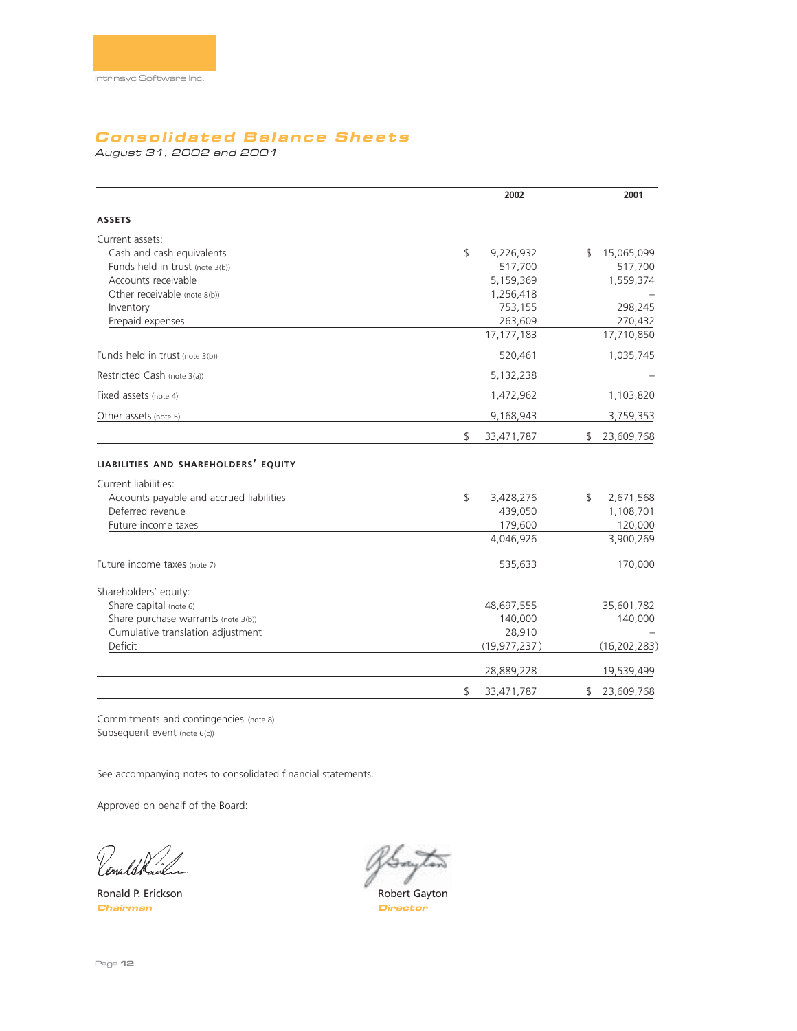# **Consolidated Balance Sheets**

August 31, 2002 and 2001

|                                          | 2002             | 2001             |
|------------------------------------------|------------------|------------------|
| <b>ASSETS</b>                            |                  |                  |
| Current assets:                          |                  |                  |
| Cash and cash equivalents                | \$<br>9,226,932  | \$<br>15,065,099 |
| Funds held in trust (note 3(b))          | 517,700          | 517,700          |
| Accounts receivable                      | 5,159,369        | 1,559,374        |
| Other receivable (note 8(b))             | 1,256,418        |                  |
| Inventory                                | 753,155          | 298,245          |
| Prepaid expenses                         | 263,609          | 270,432          |
|                                          | 17, 177, 183     | 17,710,850       |
| Funds held in trust (note 3(b))          | 520,461          | 1,035,745        |
| Restricted Cash (note 3(a))              | 5,132,238        |                  |
| Fixed assets (note 4)                    | 1,472,962        | 1,103,820        |
| Other assets (note 5)                    | 9,168,943        | 3,759,353        |
|                                          | \$<br>33,471,787 | \$<br>23,609,768 |
| LIABILITIES AND SHAREHOLDERS' EQUITY     |                  |                  |
| Current liabilities:                     |                  |                  |
| Accounts payable and accrued liabilities | \$<br>3,428,276  | \$<br>2,671,568  |
| Deferred revenue                         | 439,050          | 1,108,701        |
| Future income taxes                      | 179,600          | 120,000          |
|                                          | 4,046,926        | 3,900,269        |
| Future income taxes (note 7)             | 535,633          | 170,000          |
| Shareholders' equity:                    |                  |                  |
| Share capital (note 6)                   | 48,697,555       | 35,601,782       |
| Share purchase warrants (note 3(b))      | 140,000          | 140,000          |
| Cumulative translation adjustment        | 28,910           |                  |
| Deficit                                  | (19, 977, 237)   | (16, 202, 283)   |
|                                          | 28,889,228       | 19,539,499       |
|                                          | \$<br>33,471,787 | \$<br>23,609,768 |

Commitments and contingencies (note 8) Subsequent event (note 6(c))

See accompanying notes to consolidated financial statements.

Approved on behalf of the Board:

l <sub>l</sub>ena

**Chairman Director**

Ronald P. Erickson **Robert Gayton** Robert Gayton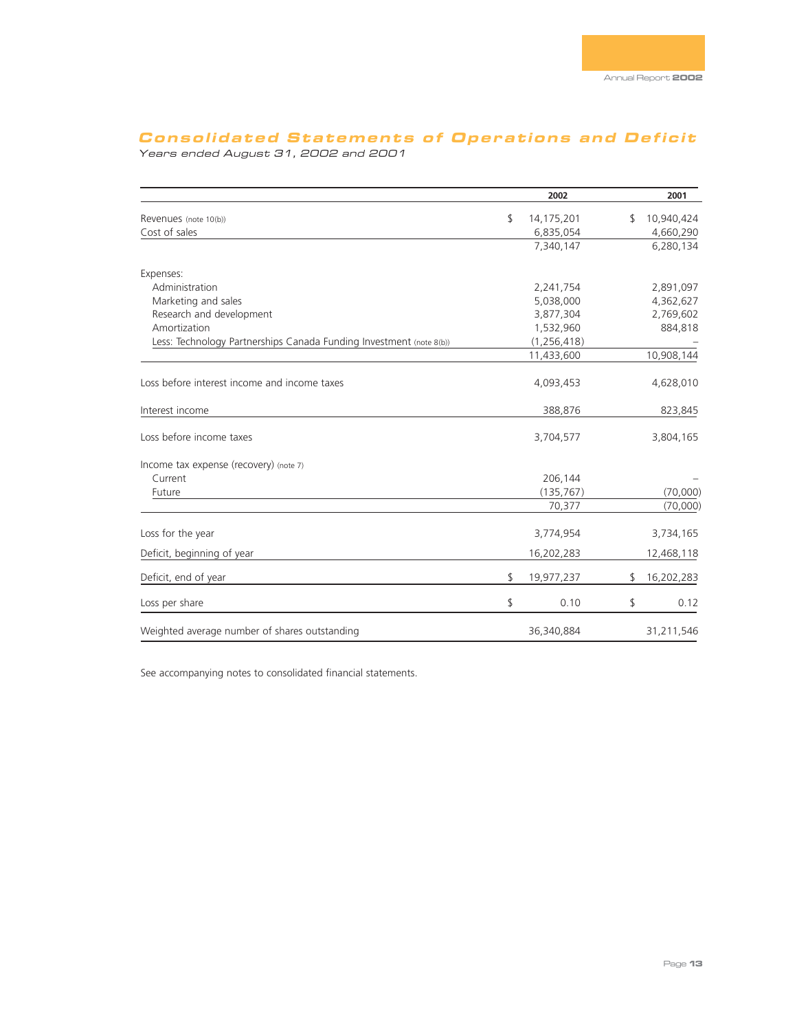# **Consolidated Statements of Operations and Deficit**

Years ended August 31, 2002 and 2001

|                                                                     | 2002             | 2001             |
|---------------------------------------------------------------------|------------------|------------------|
| Revenues (note 10(b))                                               | \$<br>14,175,201 | \$<br>10,940,424 |
| Cost of sales                                                       | 6,835,054        | 4,660,290        |
|                                                                     | 7,340,147        | 6,280,134        |
| Expenses:                                                           |                  |                  |
| Administration                                                      | 2,241,754        | 2,891,097        |
| Marketing and sales                                                 | 5,038,000        | 4,362,627        |
| Research and development                                            | 3,877,304        | 2,769,602        |
| Amortization                                                        | 1,532,960        | 884,818          |
| Less: Technology Partnerships Canada Funding Investment (note 8(b)) | (1, 256, 418)    |                  |
|                                                                     | 11,433,600       | 10,908,144       |
| Loss before interest income and income taxes                        | 4,093,453        | 4,628,010        |
| Interest income                                                     | 388,876          | 823,845          |
| Loss before income taxes                                            | 3,704,577        | 3,804,165        |
| Income tax expense (recovery) (note 7)                              |                  |                  |
| Current                                                             | 206,144          |                  |
| Future                                                              | (135, 767)       | (70,000)         |
|                                                                     | 70,377           | (70,000)         |
| Loss for the year                                                   | 3,774,954        | 3,734,165        |
| Deficit, beginning of year                                          | 16,202,283       | 12,468,118       |
| Deficit, end of year                                                | \$<br>19,977,237 | \$<br>16,202,283 |
| Loss per share                                                      | \$<br>0.10       | \$<br>0.12       |
| Weighted average number of shares outstanding                       | 36,340,884       | 31,211,546       |

See accompanying notes to consolidated financial statements.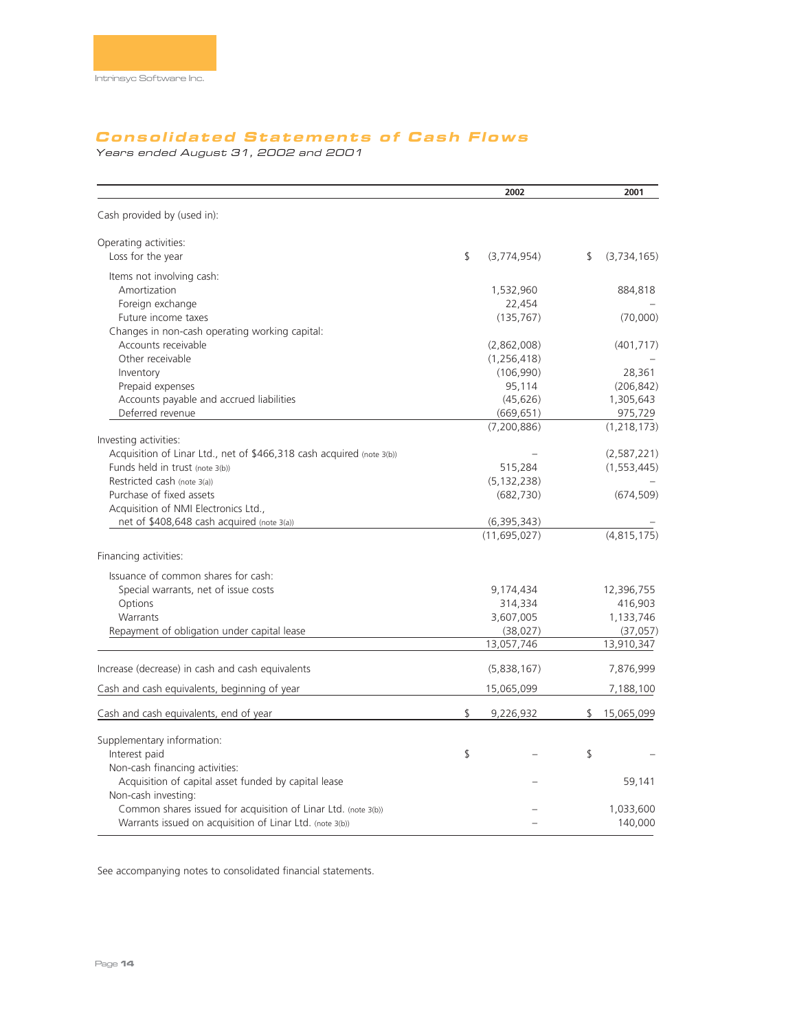# **Consolidated Statements of Cash Flows**

Years ended August 31, 2002 and 2001

|                                                                       | 2002                        | 2001                |
|-----------------------------------------------------------------------|-----------------------------|---------------------|
| Cash provided by (used in):                                           |                             |                     |
| Operating activities:                                                 |                             |                     |
| Loss for the year                                                     | \$<br>(3,774,954)           | \$<br>(3, 734, 165) |
| Items not involving cash:                                             |                             |                     |
| Amortization                                                          | 1,532,960                   | 884,818             |
| Foreign exchange                                                      | 22,454                      |                     |
| Future income taxes                                                   | (135, 767)                  | (70,000)            |
| Changes in non-cash operating working capital:                        |                             |                     |
| Accounts receivable                                                   | (2,862,008)                 | (401, 717)          |
| Other receivable                                                      | (1, 256, 418)               |                     |
| Inventory                                                             | (106,990)                   | 28,361              |
| Prepaid expenses                                                      | 95,114                      | (206, 842)          |
| Accounts payable and accrued liabilities                              | (45, 626)                   | 1,305,643           |
| Deferred revenue                                                      | (669, 651)                  | 975,729             |
|                                                                       | (7, 200, 886)               | (1, 218, 173)       |
| Investing activities:                                                 |                             |                     |
| Acquisition of Linar Ltd., net of \$466,318 cash acquired (note 3(b)) |                             | (2,587,221)         |
| Funds held in trust (note 3(b))<br>Restricted cash (note 3(a))        | 515,284                     | (1, 553, 445)       |
| Purchase of fixed assets                                              | (5, 132, 238)<br>(682, 730) | (674, 509)          |
| Acquisition of NMI Electronics Ltd.,                                  |                             |                     |
| net of \$408,648 cash acquired (note 3(a))                            | (6,395,343)                 |                     |
|                                                                       | (11, 695, 027)              | (4, 815, 175)       |
|                                                                       |                             |                     |
| Financing activities:                                                 |                             |                     |
| Issuance of common shares for cash:                                   |                             |                     |
| Special warrants, net of issue costs                                  | 9,174,434                   | 12,396,755          |
| Options                                                               | 314,334                     | 416,903             |
| Warrants                                                              | 3,607,005                   | 1,133,746           |
| Repayment of obligation under capital lease                           | (38,027)                    | (37,057)            |
|                                                                       | 13,057,746                  | 13,910,347          |
|                                                                       |                             |                     |
| Increase (decrease) in cash and cash equivalents                      | (5,838,167)                 | 7,876,999           |
| Cash and cash equivalents, beginning of year                          | 15,065,099                  | 7,188,100           |
| Cash and cash equivalents, end of year                                | \$<br>9,226,932             | \$<br>15,065,099    |
| Supplementary information:                                            |                             |                     |
| Interest paid                                                         | \$                          | \$                  |
| Non-cash financing activities:                                        |                             |                     |
| Acquisition of capital asset funded by capital lease                  |                             | 59,141              |
| Non-cash investing:                                                   |                             |                     |
| Common shares issued for acquisition of Linar Ltd. (note 3(b))        |                             | 1,033,600           |
| Warrants issued on acquisition of Linar Ltd. (note 3(b))              |                             | 140,000             |
|                                                                       |                             |                     |

See accompanying notes to consolidated financial statements.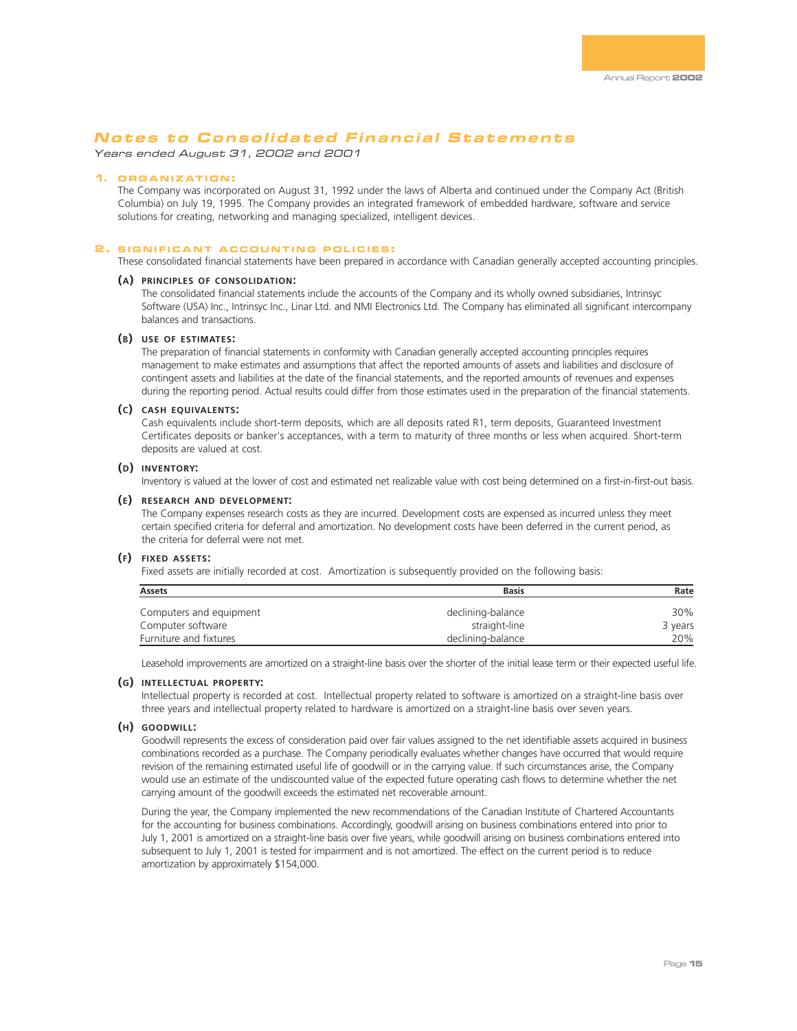Years ended August 31, 2002 and 2001

### **1. ORGANIZATION :**

The Company was incorporated on August 31, 1992 under the laws of Alberta and continued under the Company Act (British Columbia) on July 19, 1995. The Company provides an integrated framework of embedded hardware, software and service solutions for creating, networking and managing specialized, intelligent devices.

### **2 . SIGNIFICANT ACCOUNTING POLICIES :**

These consolidated financial statements have been prepared in accordance with Canadian generally accepted accounting principles.

### **(A) PRINCIPLES OF CONSOLIDATION:**

The consolidated financial statements include the accounts of the Company and its wholly owned subsidiaries, Intrinsyc Software (USA) Inc., Intrinsyc Inc., Linar Ltd. and NMI Electronics Ltd. The Company has eliminated all significant intercompany balances and transactions.

### **(B) USE OF ESTIMATES:**

The preparation of financial statements in conformity with Canadian generally accepted accounting principles requires management to make estimates and assumptions that affect the reported amounts of assets and liabilities and disclosure of contingent assets and liabilities at the date of the financial statements, and the reported amounts of revenues and expenses during the reporting period. Actual results could differ from those estimates used in the preparation of the financial statements.

### **(C) CASH EQUIVALENTS:**

Cash equivalents include short-term deposits, which are all deposits rated R1, term deposits, Guaranteed Investment Certificates deposits or banker's acceptances, with a term to maturity of three months or less when acquired. Short-term deposits are valued at cost.

### **(D) INVENTORY:**

Inventory is valued at the lower of cost and estimated net realizable value with cost being determined on a first-in-first-out basis.

### **(E) RESEARCH AND DEVELOPMENT:**

The Company expenses research costs as they are incurred. Development costs are expensed as incurred unless they meet certain specified criteria for deferral and amortization. No development costs have been deferred in the current period, as the criteria for deferral were not met.

### **(F) FIXED ASSETS:**

Fixed assets are initially recorded at cost. Amortization is subsequently provided on the following basis:

| Assets                  | <b>Basis</b>      | Rate    |
|-------------------------|-------------------|---------|
| Computers and equipment | declining-balance | 30%     |
| Computer software       | straight-line     | 3 years |
| Furniture and fixtures  | declining-balance | 20%     |

Leasehold improvements are amortized on a straight-line basis over the shorter of the initial lease term or their expected useful life.

### **(G) INTELLECTUAL PROPERTY:**

Intellectual property is recorded at cost. Intellectual property related to software is amortized on a straight-line basis over three years and intellectual property related to hardware is amortized on a straight-line basis over seven years.

### **(H) GOODWILL:**

Goodwill represents the excess of consideration paid over fair values assigned to the net identifiable assets acquired in business combinations recorded as a purchase. The Company periodically evaluates whether changes have occurred that would require revision of the remaining estimated useful life of goodwill or in the carrying value. If such circumstances arise, the Company would use an estimate of the undiscounted value of the expected future operating cash flows to determine whether the net carrying amount of the goodwill exceeds the estimated net recoverable amount.

During the year, the Company implemented the new recommendations of the Canadian Institute of Chartered Accountants for the accounting for business combinations. Accordingly, goodwill arising on business combinations entered into prior to July 1, 2001 is amortized on a straight-line basis over five years, while goodwill arising on business combinations entered into subsequent to July 1, 2001 is tested for impairment and is not amortized. The effect on the current period is to reduce amortization by approximately \$154,000.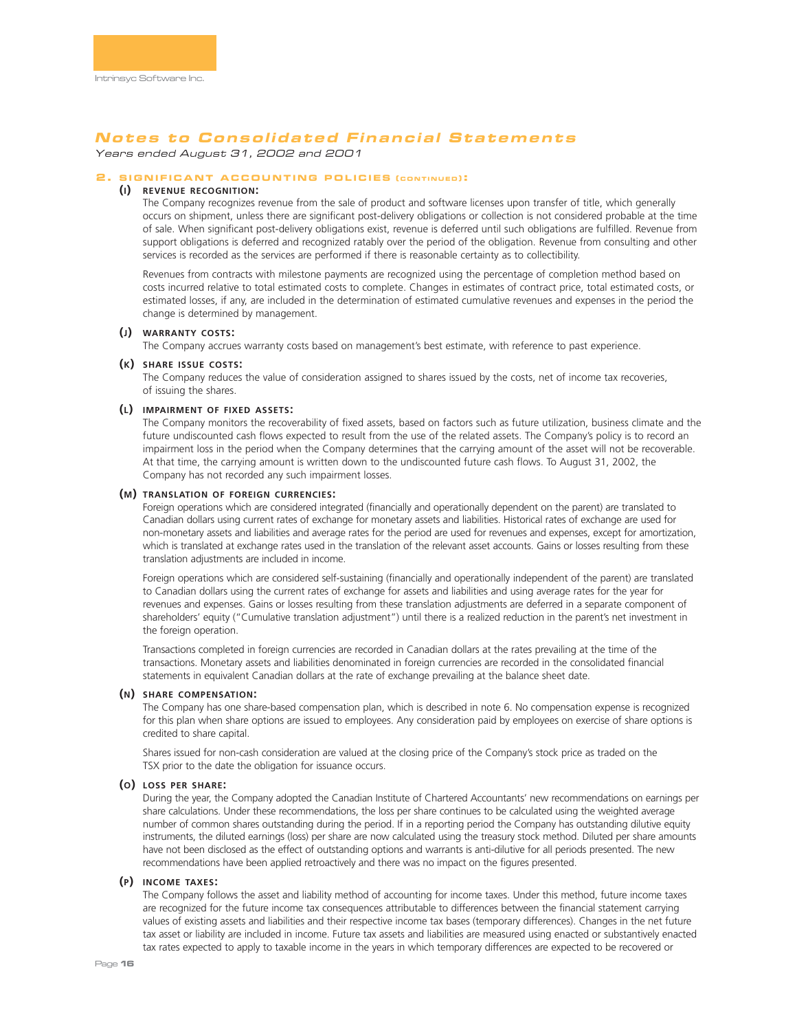Years ended August 31, 2002 and 2001

### **2 . SIGNIFICANT ACCOUNTING POLICIES ( CONTINUED ) :**

# **(I) REVENUE RECOGNITION:**

The Company recognizes revenue from the sale of product and software licenses upon transfer of title, which generally occurs on shipment, unless there are significant post-delivery obligations or collection is not considered probable at the time of sale. When significant post-delivery obligations exist, revenue is deferred until such obligations are fulfilled. Revenue from support obligations is deferred and recognized ratably over the period of the obligation. Revenue from consulting and other services is recorded as the services are performed if there is reasonable certainty as to collectibility.

Revenues from contracts with milestone payments are recognized using the percentage of completion method based on costs incurred relative to total estimated costs to complete. Changes in estimates of contract price, total estimated costs, or estimated losses, if any, are included in the determination of estimated cumulative revenues and expenses in the period the change is determined by management.

### **(J) WARRANTY COSTS:**

The Company accrues warranty costs based on management's best estimate, with reference to past experience.

### **(K) SHARE ISSUE COSTS:**

The Company reduces the value of consideration assigned to shares issued by the costs, net of income tax recoveries, of issuing the shares.

### **(L) IMPAIRMENT OF FIXED ASSETS:**

The Company monitors the recoverability of fixed assets, based on factors such as future utilization, business climate and the future undiscounted cash flows expected to result from the use of the related assets. The Company's policy is to record an impairment loss in the period when the Company determines that the carrying amount of the asset will not be recoverable. At that time, the carrying amount is written down to the undiscounted future cash flows. To August 31, 2002, the Company has not recorded any such impairment losses.

### **(M) TRANSLATION OF FOREIGN CURRENCIES:**

Foreign operations which are considered integrated (financially and operationally dependent on the parent) are translated to Canadian dollars using current rates of exchange for monetary assets and liabilities. Historical rates of exchange are used for non-monetary assets and liabilities and average rates for the period are used for revenues and expenses, except for amortization, which is translated at exchange rates used in the translation of the relevant asset accounts. Gains or losses resulting from these translation adjustments are included in income.

Foreign operations which are considered self-sustaining (financially and operationally independent of the parent) are translated to Canadian dollars using the current rates of exchange for assets and liabilities and using average rates for the year for revenues and expenses. Gains or losses resulting from these translation adjustments are deferred in a separate component of shareholders' equity ("Cumulative translation adjustment") until there is a realized reduction in the parent's net investment in the foreign operation.

Transactions completed in foreign currencies are recorded in Canadian dollars at the rates prevailing at the time of the transactions. Monetary assets and liabilities denominated in foreign currencies are recorded in the consolidated financial statements in equivalent Canadian dollars at the rate of exchange prevailing at the balance sheet date.

### **(N) SHARE COMPENSATION:**

The Company has one share-based compensation plan, which is described in note 6. No compensation expense is recognized for this plan when share options are issued to employees. Any consideration paid by employees on exercise of share options is credited to share capital.

Shares issued for non-cash consideration are valued at the closing price of the Company's stock price as traded on the TSX prior to the date the obligation for issuance occurs.

### **(O) LOSS PER SHARE:**

During the year, the Company adopted the Canadian Institute of Chartered Accountants' new recommendations on earnings per share calculations. Under these recommendations, the loss per share continues to be calculated using the weighted average number of common shares outstanding during the period. If in a reporting period the Company has outstanding dilutive equity instruments, the diluted earnings (loss) per share are now calculated using the treasury stock method. Diluted per share amounts have not been disclosed as the effect of outstanding options and warrants is anti-dilutive for all periods presented. The new recommendations have been applied retroactively and there was no impact on the figures presented.

### **(P) INCOME TAXES:**

The Company follows the asset and liability method of accounting for income taxes. Under this method, future income taxes are recognized for the future income tax consequences attributable to differences between the financial statement carrying values of existing assets and liabilities and their respective income tax bases (temporary differences). Changes in the net future tax asset or liability are included in income. Future tax assets and liabilities are measured using enacted or substantively enacted tax rates expected to apply to taxable income in the years in which temporary differences are expected to be recovered or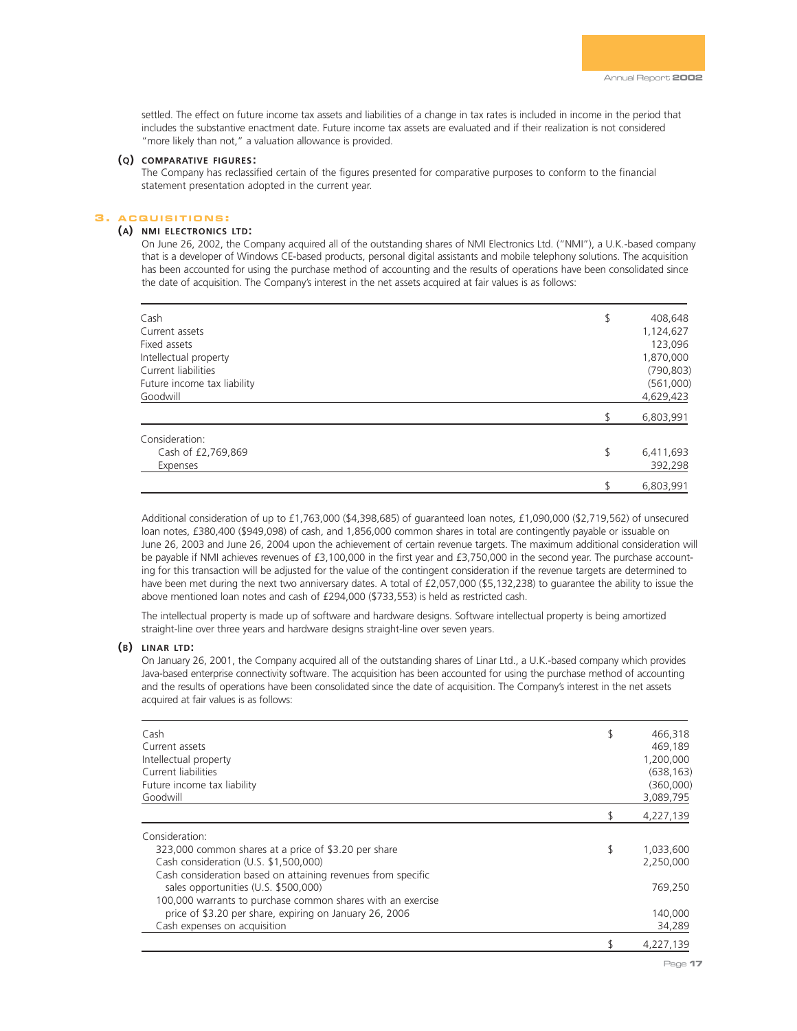settled. The effect on future income tax assets and liabilities of a change in tax rates is included in income in the period that includes the substantive enactment date. Future income tax assets are evaluated and if their realization is not considered "more likely than not," a valuation allowance is provided.

### **(Q) COMPARATIVE FIGURES :**

The Company has reclassified certain of the figures presented for comparative purposes to conform to the financial statement presentation adopted in the current year.

### **3 . ACQUISITIONS :**

# **(A) NMI ELECTRONICS LTD:**

On June 26, 2002, the Company acquired all of the outstanding shares of NMI Electronics Ltd. ("NMI"), a U.K.-based company that is a developer of Windows CE-based products, personal digital assistants and mobile telephony solutions. The acquisition has been accounted for using the purchase method of accounting and the results of operations have been consolidated since the date of acquisition. The Company's interest in the net assets acquired at fair values is as follows:

| Cash                        | \$<br>408,648   |
|-----------------------------|-----------------|
| Current assets              | 1,124,627       |
| Fixed assets                | 123,096         |
| Intellectual property       | 1,870,000       |
| Current liabilities         | (790, 803)      |
| Future income tax liability | (561,000)       |
| Goodwill                    | 4,629,423       |
|                             | 6,803,991       |
| Consideration:              |                 |
| Cash of £2,769,869          | \$<br>6,411,693 |
| Expenses                    | 392,298         |
|                             | \$<br>6,803,991 |

Additional consideration of up to £1,763,000 (\$4,398,685) of guaranteed loan notes, £1,090,000 (\$2,719,562) of unsecured loan notes, £380,400 (\$949,098) of cash, and 1,856,000 common shares in total are contingently payable or issuable on June 26, 2003 and June 26, 2004 upon the achievement of certain revenue targets. The maximum additional consideration will be payable if NMI achieves revenues of £3,100,000 in the first year and £3,750,000 in the second year. The purchase accounting for this transaction will be adjusted for the value of the contingent consideration if the revenue targets are determined to have been met during the next two anniversary dates. A total of £2,057,000 (\$5,132,238) to quarantee the ability to issue the above mentioned loan notes and cash of £294,000 (\$733,553) is held as restricted cash.

The intellectual property is made up of software and hardware designs. Software intellectual property is being amortized straight-line over three years and hardware designs straight-line over seven years.

### **(B) LINAR LTD:**

On January 26, 2001, the Company acquired all of the outstanding shares of Linar Ltd., a U.K.-based company which provides Java-based enterprise connectivity software. The acquisition has been accounted for using the purchase method of accounting and the results of operations have been consolidated since the date of acquisition. The Company's interest in the net assets acquired at fair values is as follows:

| Cash<br>Current assets<br>Intellectual property<br>Current liabilities<br>Future income tax liability<br>Goodwill | \$<br>466,318<br>469,189<br>1,200,000<br>(638, 163)<br>(360,000)<br>3,089,795 |
|-------------------------------------------------------------------------------------------------------------------|-------------------------------------------------------------------------------|
|                                                                                                                   | 4,227,139                                                                     |
| Consideration:                                                                                                    |                                                                               |
| 323,000 common shares at a price of \$3.20 per share                                                              | \$<br>1,033,600                                                               |
| Cash consideration (U.S. \$1,500,000)                                                                             | 2,250,000                                                                     |
| Cash consideration based on attaining revenues from specific                                                      |                                                                               |
| sales opportunities (U.S. \$500,000)                                                                              | 769,250                                                                       |
| 100,000 warrants to purchase common shares with an exercise                                                       |                                                                               |
| price of \$3.20 per share, expiring on January 26, 2006                                                           | 140,000                                                                       |
| Cash expenses on acquisition                                                                                      | 34,289                                                                        |
|                                                                                                                   | 4.227.139                                                                     |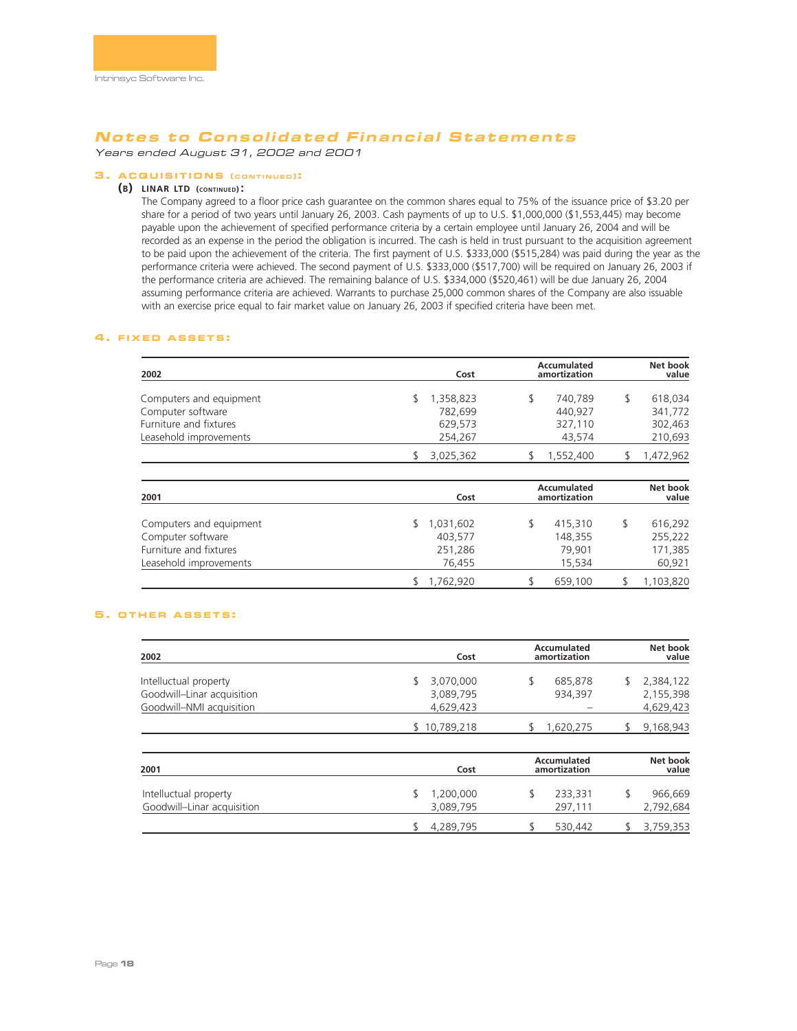Years ended August 31, 2002 and 2001

## **3 . ACQUISITIONS ( CONTINUED ):**

### **(B) LINAR LTD (CONTINUED) :**

The Company agreed to a floor price cash guarantee on the common shares equal to 75% of the issuance price of \$3.20 per share for a period of two years until January 26, 2003. Cash payments of up to U.S. \$1,000,000 (\$1,553,445) may become payable upon the achievement of specified performance criteria by a certain employee until January 26, 2004 and will be recorded as an expense in the period the obligation is incurred. The cash is held in trust pursuant to the acquisition agreement to be paid upon the achievement of the criteria. The first payment of U.S. \$333,000 (\$515,284) was paid during the year as the performance criteria were achieved. The second payment of U.S. \$333,000 (\$517,700) will be required on January 26, 2003 if the performance criteria are achieved. The remaining balance of U.S. \$334,000 (\$520,461) will be due January 26, 2004 assuming performance criteria are achieved. Warrants to purchase 25,000 common shares of the Company are also issuable with an exercise price equal to fair market value on January 26, 2003 if specified criteria have been met.

### **4 . FIXED ASSETS :**

| 2002                    | Cost      | Accumulated<br>amortization | Net book<br>value |
|-------------------------|-----------|-----------------------------|-------------------|
| Computers and equipment | 1,358,823 | 740.789                     | 618.034           |
| Computer software       | 782.699   | 440.927                     | 341,772           |
| Furniture and fixtures  | 629,573   | 327,110                     | 302,463           |
| Leasehold improvements  | 254,267   | 43.574                      | 210,693           |
|                         | 3.025.362 | 1,552,400                   | 1,472,962         |

| 2001                    | Cost      | Accumulated<br>amortization | Net book<br>value |
|-------------------------|-----------|-----------------------------|-------------------|
| Computers and equipment | 1,031,602 | 415,310                     | 616.292           |
| Computer software       | 403,577   | 148.355                     | 255,222           |
| Furniture and fixtures  | 251,286   | 79.901                      | 171,385           |
| Leasehold improvements  | 76.455    | 15,534                      | 60,921            |
|                         | 1.762.920 | 659,100                     | 1,103,820         |

### **5 . OTHER ASSETS :**

| 2002                                                                            | Cost                                      | Accumulated<br>amortization | Net book<br>value                        |
|---------------------------------------------------------------------------------|-------------------------------------------|-----------------------------|------------------------------------------|
| Intelluctual property<br>Goodwill-Linar acquisition<br>Goodwill-NMI acquisition | 3,070,000<br>S.<br>3,089,795<br>4,629,423 | 685,878<br>934,397          | 2,384,122<br>S<br>2,155,398<br>4,629,423 |
|                                                                                 | \$10,789,218                              | 1,620,275                   | 9,168,943                                |
| 2001                                                                            | Cost                                      | Accumulated<br>amortization | Net book<br>value                        |

| 2001                                                | Cost                   | amortization       | value                |
|-----------------------------------------------------|------------------------|--------------------|----------------------|
| Intelluctual property<br>Goodwill-Linar acquisition | 1,200,000<br>3,089,795 | 233,331<br>297.111 | 966,669<br>2,792,684 |
|                                                     | 4,289,795              | 530.442            | 3,759,353            |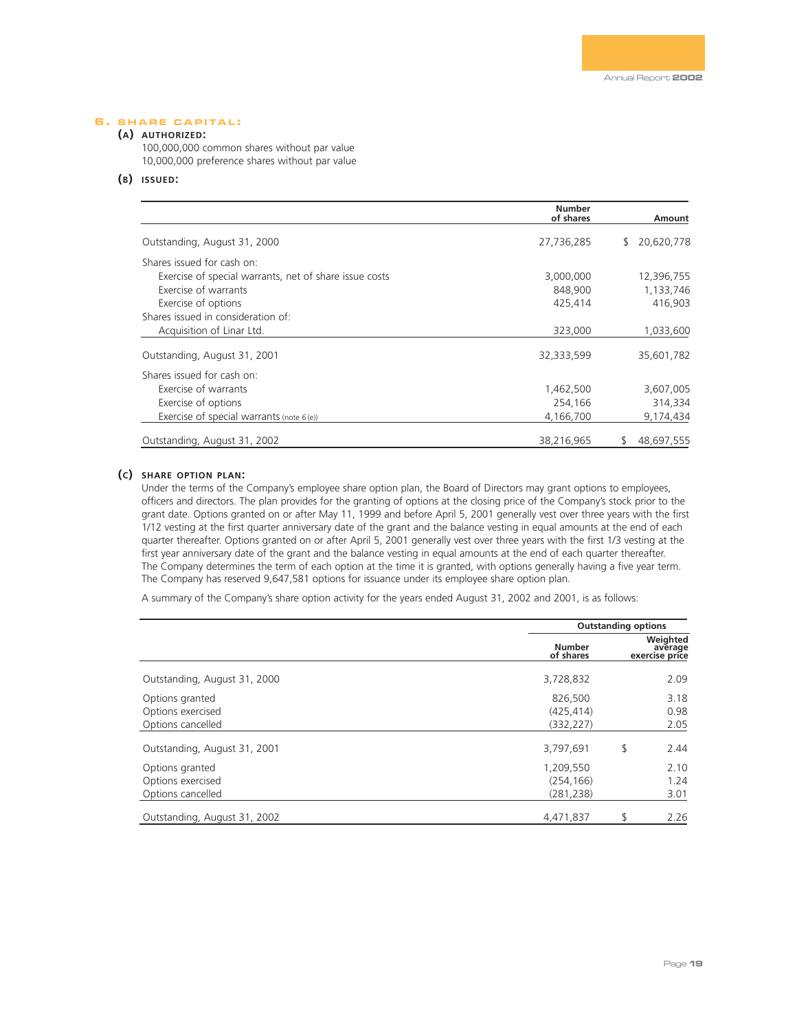## **6 . SHARE CAPITAL :**

## **(A) AUTHORIZED:**

100,000,000 common shares without par value 10,000,000 preference shares without par value

## **(B) ISSUED:**

|                                                        | <b>Number</b><br>of shares | Amount           |
|--------------------------------------------------------|----------------------------|------------------|
| Outstanding, August 31, 2000                           | 27,736,285                 | 20,620,778<br>\$ |
| Shares issued for cash on:                             |                            |                  |
| Exercise of special warrants, net of share issue costs | 3,000,000                  | 12,396,755       |
| Exercise of warrants                                   | 848,900                    | 1,133,746        |
| Exercise of options                                    | 425,414                    | 416,903          |
| Shares issued in consideration of:                     |                            |                  |
| Acquisition of Linar Ltd.                              | 323,000                    | 1,033,600        |
| Outstanding, August 31, 2001                           | 32,333,599                 | 35,601,782       |
| Shares issued for cash on:                             |                            |                  |
| Exercise of warrants                                   | 1,462,500                  | 3,607,005        |
| Exercise of options                                    | 254,166                    | 314,334          |
| Exercise of special warrants (note $6(e)$ )            | 4,166,700                  | 9,174,434        |
| Outstanding, August 31, 2002                           | 38,216,965                 | 48,697,555       |

### **(C) SHARE OPTION PLAN:**

Under the terms of the Company's employee share option plan, the Board of Directors may grant options to employees, officers and directors. The plan provides for the granting of options at the closing price of the Company's stock prior to the grant date. Options granted on or after May 11, 1999 and before April 5, 2001 generally vest over three years with the first 1/12 vesting at the first quarter anniversary date of the grant and the balance vesting in equal amounts at the end of each quarter thereafter. Options granted on or after April 5, 2001 generally vest over three years with the first 1/3 vesting at the first year anniversary date of the grant and the balance vesting in equal amounts at the end of each quarter thereafter. The Company determines the term of each option at the time it is granted, with options generally having a five year term. The Company has reserved 9,647,581 options for issuance under its employee share option plan.

A summary of the Company's share option activity for the years ended August 31, 2002 and 2001, is as follows:

|                                                           |                                       | <b>Outstanding options</b> |                                       |  |
|-----------------------------------------------------------|---------------------------------------|----------------------------|---------------------------------------|--|
|                                                           | <b>Number</b><br>of shares            |                            | Weighted<br>average<br>exercise price |  |
| Outstanding, August 31, 2000                              | 3,728,832                             |                            | 2.09                                  |  |
| Options granted<br>Options exercised<br>Options cancelled | 826,500<br>(425, 414)<br>(332, 227)   |                            | 3.18<br>0.98<br>2.05                  |  |
| Outstanding, August 31, 2001                              | 3,797,691                             | \$                         | 2.44                                  |  |
| Options granted<br>Options exercised<br>Options cancelled | 1,209,550<br>(254, 166)<br>(281, 238) |                            | 2.10<br>1.24<br>3.01                  |  |
| Outstanding, August 31, 2002                              | 4,471,837                             |                            | 2.26                                  |  |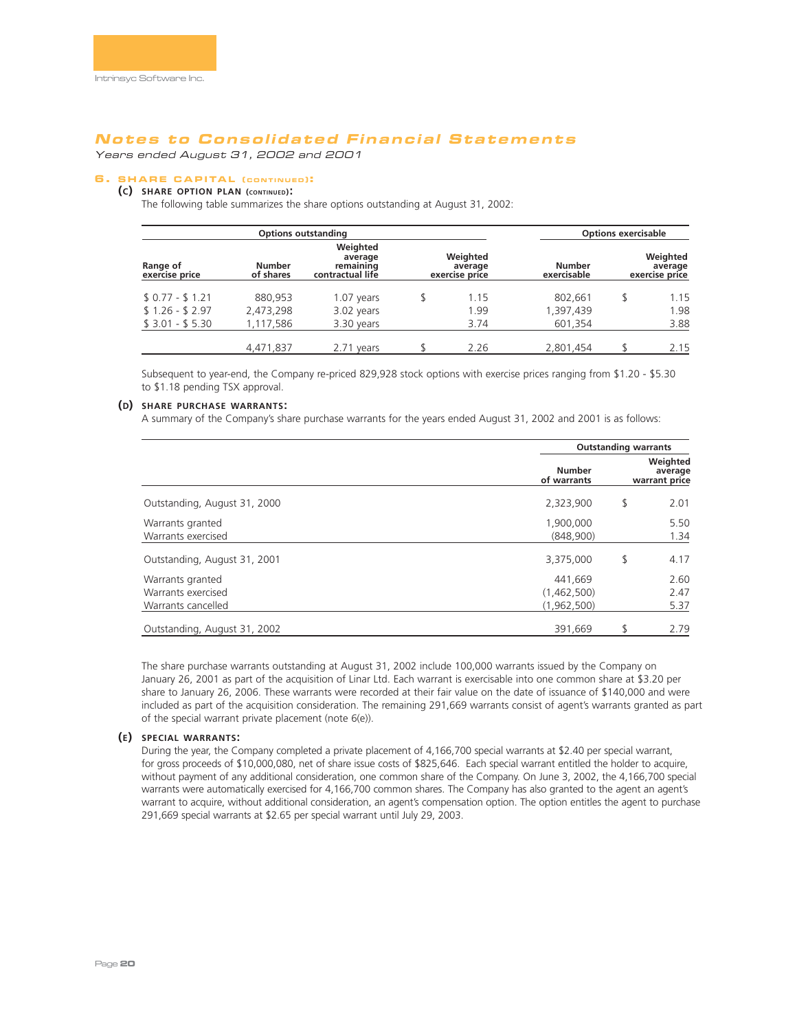Years ended August 31, 2002 and 2001

# **6 . SHARE CAPITAL ( CONTINUED ):**

# **(C) SHARE OPTION PLAN (CONTINUED):**

The following table summarizes the share options outstanding at August 31, 2002:

| <b>Options outstanding</b> |                            |                                                      | <b>Options exercisable</b>            |                       |  |                                       |
|----------------------------|----------------------------|------------------------------------------------------|---------------------------------------|-----------------------|--|---------------------------------------|
| Range of<br>exercise price | <b>Number</b><br>of shares | Weighted<br>average<br>remaining<br>contractual life | Weighted<br>average<br>exercise price | Number<br>exercisable |  | Weighted<br>average<br>exercise price |
| $$0.77 - $1.21$            | 880.953                    | 1.07 years                                           | \$<br>1.15                            | 802.661               |  | 1.15                                  |
| $$1.26 - $2.97$            | 2,473,298                  | 3.02 years                                           | 1.99                                  | 1,397,439             |  | 1.98                                  |
| $$3.01 - $5.30$            | 1,117,586                  | 3.30 years                                           | 3.74                                  | 601,354               |  | 3.88                                  |
|                            | 4,471,837                  | 2.71 years                                           | 2.26                                  | 2,801,454             |  | 2.15                                  |

Subsequent to year-end, the Company re-priced 829,928 stock options with exercise prices ranging from \$1.20 - \$5.30 to \$1.18 pending TSX approval.

### **(D) SHARE PURCHASE WARRANTS:**

A summary of the Company's share purchase warrants for the years ended August 31, 2002 and 2001 is as follows:

|                                                              |                                       | <b>Outstanding warrants</b> |                                      |  |
|--------------------------------------------------------------|---------------------------------------|-----------------------------|--------------------------------------|--|
|                                                              | <b>Number</b><br>of warrants          |                             | Weighted<br>average<br>warrant price |  |
| Outstanding, August 31, 2000                                 | 2,323,900                             | \$                          | 2.01                                 |  |
| Warrants granted<br>Warrants exercised                       | 1,900,000<br>(848,900)                |                             | 5.50<br>1.34                         |  |
| Outstanding, August 31, 2001                                 | 3,375,000                             | \$                          | 4.17                                 |  |
| Warrants granted<br>Warrants exercised<br>Warrants cancelled | 441.669<br>(1,462,500)<br>(1,962,500) |                             | 2.60<br>2.47<br>5.37                 |  |
| Outstanding, August 31, 2002                                 | 391.669                               |                             | 2.79                                 |  |

The share purchase warrants outstanding at August 31, 2002 include 100,000 warrants issued by the Company on January 26, 2001 as part of the acquisition of Linar Ltd. Each warrant is exercisable into one common share at \$3.20 per share to January 26, 2006. These warrants were recorded at their fair value on the date of issuance of \$140,000 and were included as part of the acquisition consideration. The remaining 291,669 warrants consist of agent's warrants granted as part of the special warrant private placement (note 6(e)).

### **(E) SPECIAL WARRANTS:**

During the year, the Company completed a private placement of 4,166,700 special warrants at \$2.40 per special warrant, for gross proceeds of \$10,000,080, net of share issue costs of \$825,646. Each special warrant entitled the holder to acquire, without payment of any additional consideration, one common share of the Company. On June 3, 2002, the 4,166,700 special warrants were automatically exercised for 4,166,700 common shares. The Company has also granted to the agent an agent's warrant to acquire, without additional consideration, an agent's compensation option. The option entitles the agent to purchase 291,669 special warrants at \$2.65 per special warrant until July 29, 2003.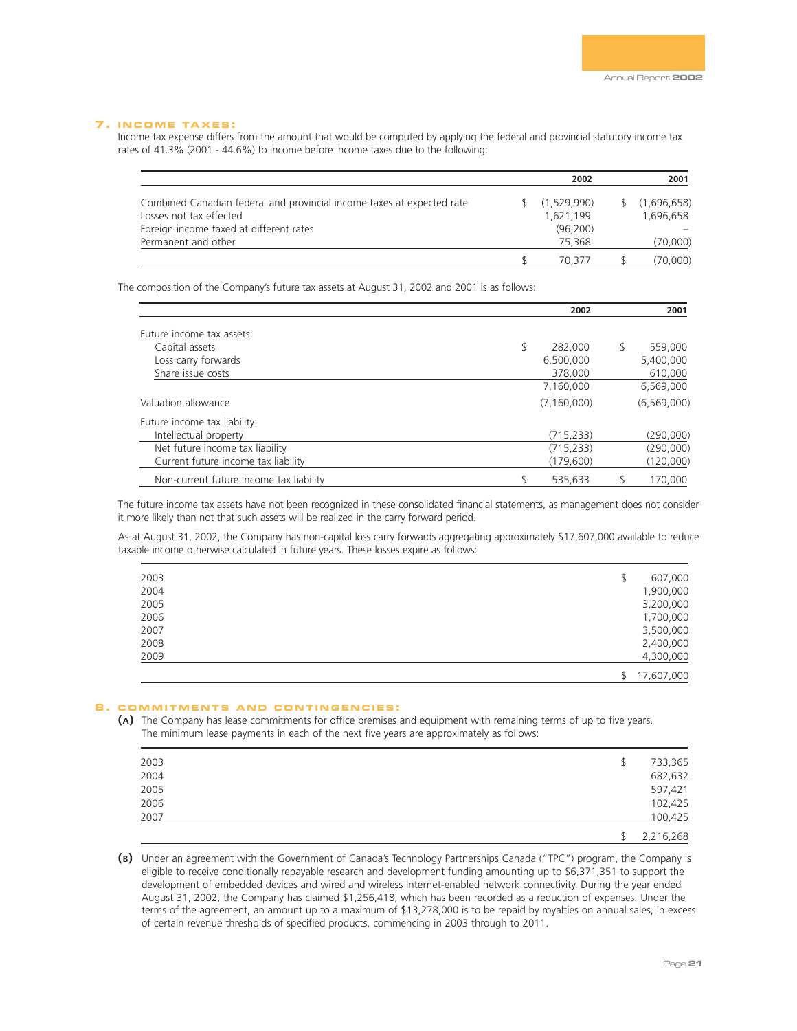### **7 . INCOME TAXES :**

Income tax expense differs from the amount that would be computed by applying the federal and provincial statutory income tax rates of 41.3% (2001 - 44.6%) to income before income taxes due to the following:

|                                                                        | 2002        | 2001          |
|------------------------------------------------------------------------|-------------|---------------|
| Combined Canadian federal and provincial income taxes at expected rate | (1.529.990) | \$(1,696,658) |
| Losses not tax effected                                                | 1.621.199   | 1.696.658     |
| Foreign income taxed at different rates                                | (96, 200)   |               |
| Permanent and other                                                    | 75,368      | (70,000)      |
|                                                                        | 70.377      | (70.000)      |

The composition of the Company's future tax assets at August 31, 2002 and 2001 is as follows:

|                                         | 2002          | 2001          |
|-----------------------------------------|---------------|---------------|
| Future income tax assets:               |               |               |
| Capital assets                          | \$<br>282,000 | \$<br>559,000 |
| Loss carry forwards                     | 6,500,000     | 5,400,000     |
| Share issue costs                       | 378,000       | 610,000       |
|                                         | 7,160,000     | 6,569,000     |
| Valuation allowance                     | (7, 160, 000) | (6, 569, 000) |
| Future income tax liability:            |               |               |
| Intellectual property                   | (715, 233)    | (290,000)     |
| Net future income tax liability         | (715, 233)    | (290,000)     |
| Current future income tax liability     | (179,600)     | (120,000)     |
| Non-current future income tax liability | 535,633       | 170,000       |

The future income tax assets have not been recognized in these consolidated financial statements, as management does not consider it more likely than not that such assets will be realized in the carry forward period.

As at August 31, 2002, the Company has non-capital loss carry forwards aggregating approximately \$17,607,000 available to reduce taxable income otherwise calculated in future years. These losses expire as follows:

| 2003 | 607,000<br>\$ |
|------|---------------|
| 2004 | 1,900,000     |
| 2005 | 3,200,000     |
| 2006 | 1,700,000     |
| 2007 | 3,500,000     |
| 2008 | 2,400,000     |
| 2009 | 4,300,000     |
|      | \$17,607,000  |

### **8 . COMMITMENTS AND CONTINGENCIES :**

**(A)** The Company has lease commitments for office premises and equipment with remaining terms of up to five years. The minimum lease payments in each of the next five years are approximately as follows:

| 2003 | ₩ | 733,365   |
|------|---|-----------|
| 2004 |   | 682,632   |
| 2005 |   | 597,421   |
| 2006 |   | 102,425   |
| 2007 |   | 100,425   |
|      |   | 2,216,268 |

**(B)** Under an agreement with the Government of Canada's Technology Partnerships Canada ("TPC") program, the Company is eligible to receive conditionally repayable research and development funding amounting up to \$6,371,351 to support the development of embedded devices and wired and wireless Internet-enabled network connectivity. During the year ended August 31, 2002, the Company has claimed \$1,256,418, which has been recorded as a reduction of expenses. Under the terms of the agreement, an amount up to a maximum of \$13,278,000 is to be repaid by royalties on annual sales, in excess of certain revenue thresholds of specified products, commencing in 2003 through to 2011.